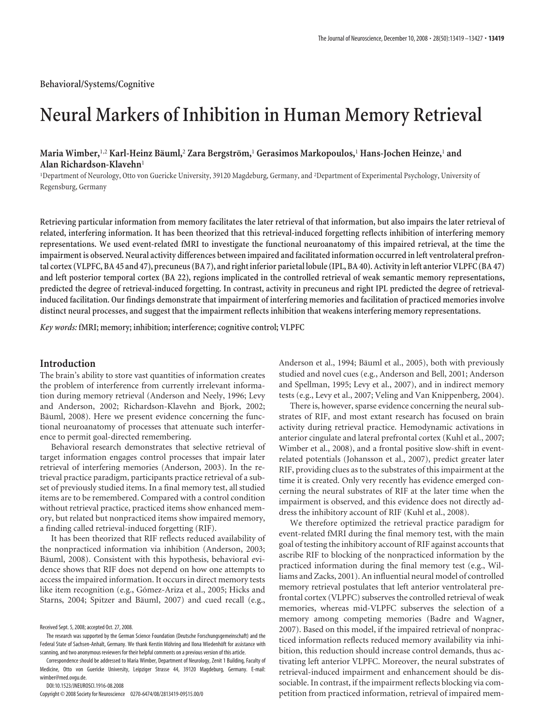# **Neural Markers of Inhibition in Human Memory Retrieval**

# **Maria Wimber,**1,2 **Karl-Heinz Ba¨uml,**<sup>2</sup> **Zara Bergstro¨m,**<sup>1</sup> **Gerasimos Markopoulos,**<sup>1</sup> **Hans-Jochen Heinze,**<sup>1</sup> **and Alan Richardson-Klavehn**<sup>1</sup>

<sup>1</sup>Department of Neurology, Otto von Guericke University, 39120 Magdeburg, Germany, and <sup>2</sup>Department of Experimental Psychology, University of Regensburg, Germany

**Retrieving particular information from memory facilitates the later retrieval of that information, but also impairs the later retrieval of related, interfering information. It has been theorized that this retrieval-induced forgetting reflects inhibition of interfering memory representations. We used event-related fMRI to investigate the functional neuroanatomy of this impaired retrieval, at the time the impairment is observed. Neural activity differences between impaired and facilitated information occurred in left ventrolateral prefrontal cortex (VLPFC, BA 45 and 47), precuneus (BA 7), and right inferior parietal lobule (IPL, BA 40). Activity in left anterior VLPFC (BA 47) and left posterior temporal cortex (BA 22), regions implicated in the controlled retrieval of weak semantic memory representations, predicted the degree of retrieval-induced forgetting. In contrast, activity in precuneus and right IPL predicted the degree of retrievalinduced facilitation. Our findings demonstrate that impairment of interfering memories and facilitation of practiced memories involve distinct neural processes, and suggest that the impairment reflects inhibition that weakens interfering memory representations.**

*Key words:* **fMRI; memory; inhibition; interference; cognitive control; VLPFC**

# **Introduction**

The brain's ability to store vast quantities of information creates the problem of interference from currently irrelevant information during memory retrieval (Anderson and Neely, 1996; Levy and Anderson, 2002; Richardson-Klavehn and Bjork, 2002; Bäuml, 2008). Here we present evidence concerning the functional neuroanatomy of processes that attenuate such interference to permit goal-directed remembering.

Behavioral research demonstrates that selective retrieval of target information engages control processes that impair later retrieval of interfering memories (Anderson, 2003). In the retrieval practice paradigm, participants practice retrieval of a subset of previously studied items. In a final memory test, all studied items are to be remembered. Compared with a control condition without retrieval practice, practiced items show enhanced memory, but related but nonpracticed items show impaired memory, a finding called retrieval-induced forgetting (RIF).

It has been theorized that RIF reflects reduced availability of the nonpracticed information via inhibition (Anderson, 2003; Bäuml, 2008). Consistent with this hypothesis, behavioral evidence shows that RIF does not depend on how one attempts to access the impaired information. It occurs in direct memory tests like item recognition (e.g., Gómez-Ariza et al., 2005; Hicks and Starns, 2004; Spitzer and Bäuml, 2007) and cued recall (e.g.,

DOI:10.1523/JNEUROSCI.1916-08.2008

Copyright © 2008 Society for Neuroscience 0270-6474/08/2813419-09\$15.00/0

Anderson et al., 1994; Bäuml et al., 2005), both with previously studied and novel cues (e.g., Anderson and Bell, 2001; Anderson and Spellman, 1995; Levy et al., 2007), and in indirect memory tests (e.g., Levy et al., 2007; Veling and Van Knippenberg, 2004).

There is, however, sparse evidence concerning the neural substrates of RIF, and most extant research has focused on brain activity during retrieval practice. Hemodynamic activations in anterior cingulate and lateral prefrontal cortex (Kuhl et al., 2007; Wimber et al., 2008), and a frontal positive slow-shift in eventrelated potentials (Johansson et al., 2007), predict greater later RIF, providing clues as to the substrates of this impairment at the time it is created. Only very recently has evidence emerged concerning the neural substrates of RIF at the later time when the impairment is observed, and this evidence does not directly address the inhibitory account of RIF (Kuhl et al., 2008).

We therefore optimized the retrieval practice paradigm for event-related fMRI during the final memory test, with the main goal of testing the inhibitory account of RIF against accounts that ascribe RIF to blocking of the nonpracticed information by the practiced information during the final memory test (e.g., Williams and Zacks, 2001). An influential neural model of controlled memory retrieval postulates that left anterior ventrolateral prefrontal cortex (VLPFC) subserves the controlled retrieval of weak memories, whereas mid-VLPFC subserves the selection of a memory among competing memories (Badre and Wagner, 2007). Based on this model, if the impaired retrieval of nonpracticed information reflects reduced memory availability via inhibition, this reduction should increase control demands, thus activating left anterior VLPFC. Moreover, the neural substrates of retrieval-induced impairment and enhancement should be dissociable. In contrast, if the impairment reflects blocking via competition from practiced information, retrieval of impaired mem-

Received Sept. 5, 2008; accepted Oct. 27, 2008.

The research was supported by the German Science Foundation (Deutsche Forschungsgemeinschaft) and the Federal State of Sachsen-Anhalt, Germany. We thank Kerstin Möhring and Ilona Wiedenhöft for assistance with scanning, and two anonymous reviewers for their helpful comments on a previous version of this article.

Correspondence should be addressed to Maria Wimber, Department of Neurology, Zenit 1 Building, Faculty of Medicine, Otto von Guericke University, Leipziger Strasse 44, 39120 Magdeburg, Germany. E-mail: wimber@med.ovgu.de.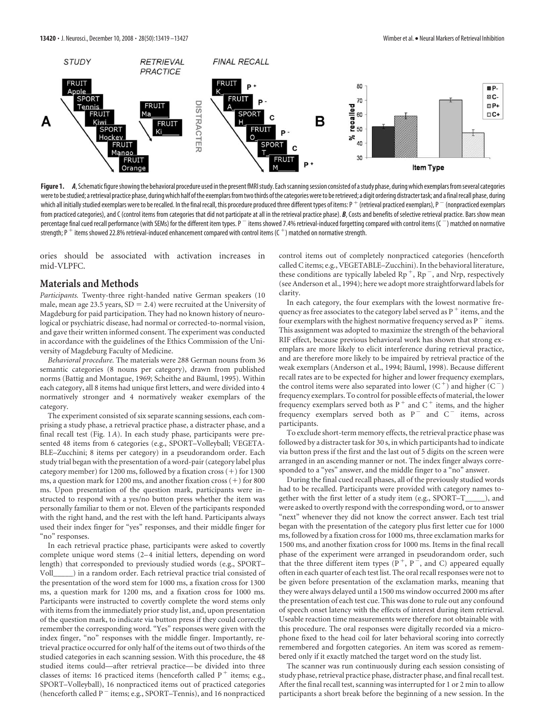

Figure 1. A, Schematic figure showing the behavioral procedure used in the present fMRI study. Each scanning session consisted of a study phase, during which exemplars from several categories were to be studied; a retrieval practice phase, during which half of the exemplars from two thirds of the categories were to be retrieved; a digit ordering distracter task; and a final recall phase, during which all initially studied exemplars were to be recalled. In the final recall, this procedure produced three different types of items: P  $^+$  (retrieval practiced exemplars), P  $^-$  (nonpracticed exemplars from practiced categories), and C (control items from categories that did not participate at all in the retrieval practice phase). *B*, Costs and benefits of selective retrieval practice. Bars show mean percentage final cued recall performance (with SEMs) for the different item types.  $P^-$  items showed 7.4% retrieval-induced forgetting compared with control items ( $C^-$ ) matched on normative strength; P  $^+$  items showed 22.8% retrieval-induced enhancement compared with control items (C  $^+$ ) matched on normative strength.

ories should be associated with activation increases in mid-VLPFC.

## **Materials and Methods**

*Participants.* Twenty-three right-handed native German speakers (10 male, mean age 23.5 years,  $SD = 2.4$ ) were recruited at the University of Magdeburg for paid participation. They had no known history of neurological or psychiatric disease, had normal or corrected-to-normal vision, and gave their written informed consent. The experiment was conducted in accordance with the guidelines of the Ethics Commission of the University of Magdeburg Faculty of Medicine.

*Behavioral procedure.* The materials were 288 German nouns from 36 semantic categories (8 nouns per category), drawn from published norms (Battig and Montague, 1969; Scheithe and Bäuml, 1995). Within each category, all 8 items had unique first letters, and were divided into 4 normatively stronger and 4 normatively weaker exemplars of the category.

The experiment consisted of six separate scanning sessions, each comprising a study phase, a retrieval practice phase, a distracter phase, and a final recall test (Fig. 1*A*). In each study phase, participants were presented 48 items from 6 categories (e.g., SPORT–Volleyball; VEGETA-BLE–Zucchini; 8 items per category) in a pseudorandom order. Each study trial began with the presentation of a word-pair (category label plus category member) for  $1200$  ms, followed by a fixation cross  $(+)$  for  $1300$ ms, a question mark for 1200 ms, and another fixation cross (+) for 800 ms. Upon presentation of the question mark, participants were instructed to respond with a yes/no button press whether the item was personally familiar to them or not. Eleven of the participants responded with the right hand, and the rest with the left hand. Participants always used their index finger for "yes" responses, and their middle finger for "no" responses.

In each retrieval practice phase, participants were asked to covertly complete unique word stems (2–4 initial letters, depending on word length) that corresponded to previously studied words (e.g., SPORT– ) in a random order. Each retrieval practice trial consisted of the presentation of the word stem for 1000 ms, a fixation cross for 1300 ms, a question mark for 1200 ms, and a fixation cross for 1000 ms. Participants were instructed to covertly complete the word stems only with items from the immediately prior study list, and, upon presentation of the question mark, to indicate via button press if they could correctly remember the corresponding word. "Yes" responses were given with the index finger, "no" responses with the middle finger. Importantly, retrieval practice occurred for only half of the items out of two thirds of the studied categories in each scanning session. With this procedure, the 48 studied items could—after retrieval practice— be divided into three classes of items: 16 practiced items (henceforth called  $P^+$  items; e.g., SPORT–Volleyball), 16 nonpracticed items out of practiced categories (henceforth called  $P^-$  items; e.g., SPORT–Tennis), and 16 nonpracticed

control items out of completely nonpracticed categories (henceforth called C items; e.g., VEGETABLE–Zucchini). In the behavioral literature, these conditions are typically labeled  $Rp^{+}$ ,  $Rp^{-}$ , and Nrp, respectively (see Anderson et al., 1994); here we adopt more straightforward labels for clarity.

In each category, the four exemplars with the lowest normative frequency as free associates to the category label served as  $P^+$  items, and the four exemplars with the highest normative frequency served as  $P^-$  items. This assignment was adopted to maximize the strength of the behavioral RIF effect, because previous behavioral work has shown that strong exemplars are more likely to elicit interference during retrieval practice, and are therefore more likely to be impaired by retrieval practice of the weak exemplars (Anderson et al., 1994; Bäuml, 1998). Because different recall rates are to be expected for higher and lower frequency exemplars, the control items were also separated into lower  $(C^+)$  and higher  $(C^-)$ frequency exemplars. To control for possible effects of material, the lower frequency exemplars served both as  $P^+$  and  $C^+$  items, and the higher frequency exemplars served both as  $P^-$  and  $C^-$  items, across participants.

To exclude short-term memory effects, the retrieval practice phase was followed by a distracter task for 30 s, in which participants had to indicate via button press if the first and the last out of 5 digits on the screen were arranged in an ascending manner or not. The index finger always corresponded to a "yes" answer, and the middle finger to a "no" answer.

During the final cued recall phases, all of the previously studied words had to be recalled. Participants were provided with category names together with the first letter of a study item (e.g., SPORT–T\_\_\_\_\_), and were asked to overtly respond with the corresponding word, or to answer "next" whenever they did not know the correct answer. Each test trial began with the presentation of the category plus first letter cue for 1000 ms, followed by a fixation cross for 1000 ms, three exclamation marks for 1500 ms, and another fixation cross for 1000 ms. Items in the final recall phase of the experiment were arranged in pseudorandom order, such that the three different item types  $(P^+, P^-,$  and C) appeared equally often in each quarter of each test list. The oral recall responses were not to be given before presentation of the exclamation marks, meaning that they were always delayed until a 1500 ms window occurred 2000 ms after the presentation of each test cue. This was done to rule out any confound of speech onset latency with the effects of interest during item retrieval. Useable reaction time measurements were therefore not obtainable with this procedure. The oral responses were digitally recorded via a microphone fixed to the head coil for later behavioral scoring into correctly remembered and forgotten categories. An item was scored as remembered only if it exactly matched the target word on the study list.

The scanner was run continuously during each session consisting of study phase, retrieval practice phase, distracter phase, and final recall test. After the final recall test, scanning was interrupted for 1 or 2 min to allow participants a short break before the beginning of a new session. In the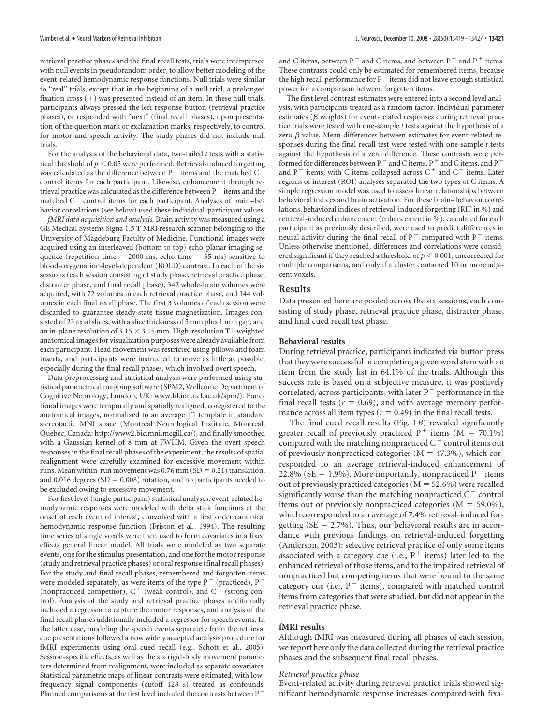retrieval practice phases and the final recall tests, trials were interspersed with null events in pseudorandom order, to allow better modeling of the event-related hemodynamic response functions. Null trials were similar to "real" trials, except that in the beginning of a null trial, a prolonged fixation cross (+) was presented instead of an item. In these null trials, participants always pressed the left response button (retrieval practice phases), or responded with "next" (final recall phases), upon presentation of the question mark or exclamation marks, respectively, to control for motor and speech activity. The study phases did not include null trials.

For the analysis of the behavioral data, two-tailed *t* tests with a statistical threshold of  $p < 0.05$  were performed. Retrieval-induced forgetting was calculated as the difference between P  $^-$  items and the matched C  $^{\circ}$ control items for each participant. Likewise, enhancement through retrieval practice was calculated as the difference between P  $^+$  items and the matched  $C^+$  control items for each participant. Analyses of brain-behavior correlations (see below) used these individual-participant values.

*fMRI data acquisition and analysis.* Brain activity was measured using a GE Medical Systems Signa 1.5 T MRI research scanner belonging to the University of Magdeburg Faculty of Medicine. Functional images were acquired using an interleaved (bottom to top) echo-planar imaging sequence (repetition time  $= 2000$  ms, echo time  $= 35$  ms) sensitive to blood-oxygenation-level-dependent (BOLD) contrast. In each of the six sessions (each session consisting of study phase, retrieval practice phase, distracter phase, and final recall phase), 342 whole-brain volumes were acquired, with 72 volumes in each retrieval practice phase, and 144 volumes in each final recall phase. The first 3 volumes of each session were discarded to guarantee steady state tissue magnetization. Images consisted of 23 axial slices, with a slice thickness of 5 mm plus 1 mm gap, and an in-plane resolution of 3.15  $\times$  3.15 mm. High-resolution T1-weighted anatomical images for visualization purposes were already available from each participant. Head movement was restricted using pillows and foam inserts, and participants were instructed to move as little as possible, especially during the final recall phases, which involved overt speech.

Data preprocessing and statistical analysis were performed using statistical parametrical mapping software (SPM2, Wellcome Department of Cognitive Neurology, London, UK: www.fil.ion.ucl.ac.uk/spm/). Functional images were temporally and spatially realigned, coregistered to the anatomical images, normalized to an average T1 template in standard stereotactic MNI space (Montreal Neurological Institute, Montreal, Quebec, Canada: http://www2.bic.mni.mcgill.ca/), and finally smoothed with a Gaussian kernel of 8 mm at FWHM. Given the overt speech responses in the final recall phases of the experiment, the results of spatial realignment were carefully examined for excessive movement within runs. Mean within-run movement was  $0.76$  mm (SD = 0.21) translation, and 0.016 degrees ( $SD = 0.008$ ) rotation, and no participants needed to be excluded owing to excessive movement.

For first level (single participant) statistical analyses, event-related hemodynamic responses were modeled with delta stick functions at the onset of each event of interest, convolved with a first order canonical hemodynamic response function (Friston et al., 1994). The resulting time series of single voxels were then used to form covariates in a fixed effects general linear model. All trials were modeled as two separate events, one for the stimulus presentation, and one for the motor response (study and retrieval practice phases) or oral response (final recall phases). For the study and final recall phases, remembered and forgotten items were modeled separately, as were items of the type  $P^+$  (practiced),  $P^-$ (nonpracticed competitor),  $C^+$  (weak control), and  $C^-$  (strong control). Analysis of the study and retrieval practice phases additionally included a regressor to capture the motor responses, and analysis of the final recall phases additionally included a regressor for speech events. In the latter case, modeling the speech events separately from the retrieval cue presentations followed a now widely accepted analysis procedure for fMRI experiments using oral cued recall (e.g., Schott et al., 2005). Session-specific effects, as well as the six rigid-body movement parameters determined from realignment, were included as separate covariates. Statistical parametric maps of linear contrasts were estimated, with lowfrequency signal components (cutoff 128 s) treated as confounds. Planned comparisons at the first level included the contrasts between P

and C items, between  $P^+$  and C items, and between  $P^-$  and  $P^+$  items. These contrasts could only be estimated for remembered items, because the high recall performance for P  $^+$  items did not leave enough statistical power for a comparison between forgotten items.

The first level contrast estimates were entered into a second level analysis, with participants treated as a random factor. Individual parameter estimates ( $\beta$  weights) for event-related responses during retrieval practice trials were tested with one-sample *t* tests against the hypothesis of a zero  $\beta$  value. Mean differences between estimates for event-related responses during the final recall test were tested with one-sample *t* tests against the hypothesis of a zero difference. These contrasts were performed for differences between P  $^-$  and C items, P  $^+$  and C items, and P  $^$ and  $P^+$  items, with C items collapsed across  $C^+$  and  $C^-$  items. Later regions of interest (ROI) analyses separated the two types of C items. A simple regression model was used to assess linear relationships between behavioral indices and brain activation. For these brain– behavior correlations, behavioral indices of retrieval-induced forgetting (RIF in %) and retrieval-induced enhancement (enhancement in %), calculated for each participant as previously described, were used to predict differences in neural activity during the final recall of  $P^-$  compared with  $P^+$  items. Unless otherwise mentioned, differences and correlations were considered significant if they reached a threshold of  $p < 0.001$ , uncorrected for multiple comparisons, and only if a cluster contained 10 or more adjacent voxels.

## **Results**

Data presented here are pooled across the six sessions, each consisting of study phase, retrieval practice phase, distracter phase, and final cued recall test phase.

#### **Behavioral results**

During retrieval practice, participants indicated via button press that they were successful in completing a given word stem with an item from the study list in 64.1% of the trials. Although this success rate is based on a subjective measure, it was positively correlated, across participants, with later P $^+$  performance in the final recall tests ( $r = 0.69$ ), and with average memory performance across all item types ( $r = 0.49$ ) in the final recall tests.

The final cued recall results (Fig. 1*B*) revealed significantly greater recall of previously practiced  $P^+$  items (M = 70.1%) compared with the matching nonpracticed  $C^+$  control items out of previously nonpracticed categories ( $M = 47.3\%$ ), which corresponded to an average retrieval-induced enhancement of 22.8% (SE = 1.9%). More importantly, nonpracticed  $P^-$  items out of previously practiced categories ( $M = 52.6\%$ ) were recalled significantly worse than the matching nonpracticed  $C^-$  control items out of previously nonpracticed categories ( $M = 59.0\%$ ), which corresponded to an average of 7.4% retrieval-induced forgetting ( $SE = 2.7\%$ ). Thus, our behavioral results are in accordance with previous findings on retrieval-induced forgetting (Anderson, 2003): selective retrieval practice of only some items associated with a category cue (i.e.,  $P^+$  items) later led to the enhanced retrieval of those items, and to the impaired retrieval of nonpracticed but competing items that were bound to the same category cue (i.e.,  $P^-$  items), compared with matched control items from categories that were studied, but did not appear in the retrieval practice phase.

## **fMRI results**

Although fMRI was measured during all phases of each session, we report here only the data collected during the retrieval practice phases and the subsequent final recall phases.

## *Retrieval practice phase*

Event-related activity during retrieval practice trials showed significant hemodynamic response increases compared with fixa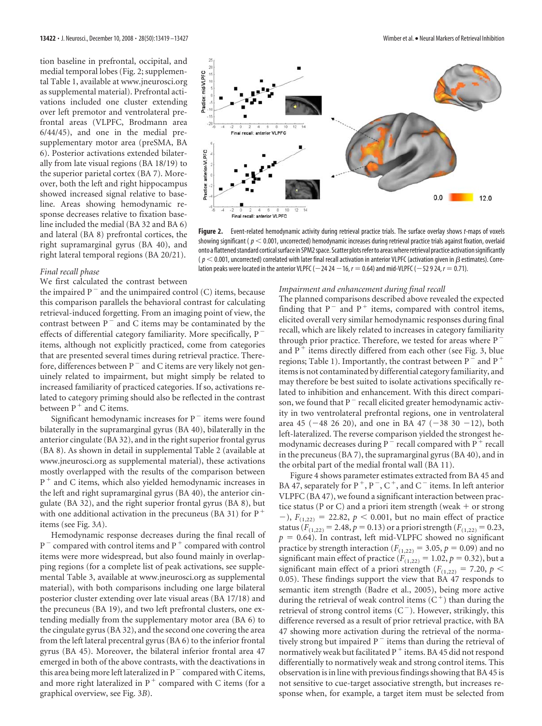tion baseline in prefrontal, occipital, and medial temporal lobes (Fig. 2; supplemental Table 1, available at www.jneurosci.org as supplemental material). Prefrontal activations included one cluster extending over left premotor and ventrolateral prefrontal areas (VLPFC, Brodmann area 6/44/45), and one in the medial presupplementary motor area (preSMA, BA 6). Posterior activations extended bilaterally from late visual regions (BA 18/19) to the superior parietal cortex (BA 7). Moreover, both the left and right hippocampus showed increased signal relative to baseline. Areas showing hemodynamic response decreases relative to fixation baseline included the medial (BA 32 and BA 6) and lateral (BA 8) prefrontal cortices, the right supramarginal gyrus (BA 40), and right lateral temporal regions (BA 20/21).

#### *Final recall phase*

We first calculated the contrast between

the impaired  $P^-$  and the unimpaired control (C) items, because this comparison parallels the behavioral contrast for calculating retrieval-induced forgetting. From an imaging point of view, the contrast between  $P^-$  and C items may be contaminated by the effects of differential category familiarity. More specifically, P items, although not explicitly practiced, come from categories that are presented several times during retrieval practice. Therefore, differences between  $P^-$  and C items are very likely not genuinely related to impairment, but might simply be related to increased familiarity of practiced categories. If so, activations related to category priming should also be reflected in the contrast between  $P^+$  and C items.

Significant hemodynamic increases for  $P^-$  items were found bilaterally in the supramarginal gyrus (BA 40), bilaterally in the anterior cingulate (BA 32), and in the right superior frontal gyrus (BA 8). As shown in detail in supplemental Table 2 (available at www.jneurosci.org as supplemental material), these activations mostly overlapped with the results of the comparison between P<sup>+</sup> and C items, which also yielded hemodynamic increases in the left and right supramarginal gyrus (BA 40), the anterior cingulate (BA 32), and the right superior frontal gyrus (BA 8), but with one additional activation in the precuneus (BA 31) for  $P^+$ items (see Fig. 3*A*).

Hemodynamic response decreases during the final recall of  $P^-$  compared with control items and  $P^+$  compared with control items were more widespread, but also found mainly in overlapping regions (for a complete list of peak activations, see supplemental Table 3, available at www.jneurosci.org as supplemental material), with both comparisons including one large bilateral posterior cluster extending over late visual areas (BA 17/18) and the precuneus (BA 19), and two left prefrontal clusters, one extending medially from the supplementary motor area (BA 6) to the cingulate gyrus (BA 32), and the second one covering the area from the left lateral precentral gyrus (BA 6) to the inferior frontal gyrus (BA 45). Moreover, the bilateral inferior frontal area 47 emerged in both of the above contrasts, with the deactivations in this area being more left lateralized in  $P^-$  compared with C items, and more right lateralized in  $P^+$  compared with C items (for a graphical overview, see Fig. 3*B*).



**Figure 2.** Event-related hemodynamic activity during retrieval practice trials. The surface overlay shows *t*-maps of voxels showing significant ( $p < 0.001$ , uncorrected) hemodynamic increases during retrieval practice trials against fixation, overlaid onto a flattened standard cortical surface in SPM2 space. Scatter plots refer to areas where retrieval practice activation significantly ( $p < 0.001$ , uncorrected) correlated with later final recall activation in anterior VLPFC (activation given in  $\beta$  estimates). Correlation peaks were located in the anterior VLPFC ( $-24$  24  $-16$ ,  $r = 0.64$ ) and mid-VLPFC ( $-52$  9 24,  $r = 0.71$ ).

#### *Impairment and enhancement during final recall*

The planned comparisons described above revealed the expected finding that  $P^-$  and  $P^+$  items, compared with control items, elicited overall very similar hemodynamic responses during final recall, which are likely related to increases in category familiarity through prior practice. Therefore, we tested for areas where P and  $P^+$  items directly differed from each other (see Fig. 3, blue regions; Table 1). Importantly, the contrast between P  $^-$  and P  $^+$ items is not contaminated by differential category familiarity, and may therefore be best suited to isolate activations specifically related to inhibition and enhancement. With this direct comparison, we found that  $P^-$  recall elicited greater hemodynamic activity in two ventrolateral prefrontal regions, one in ventrolateral area 45 ( $-48$  26 20), and one in BA 47 ( $-38$  30  $-12$ ), both left-lateralized. The reverse comparison yielded the strongest hemodynamic decreases during P  $^-\,$  recall compared with P  $^+$  recall in the precuneus (BA 7), the supramarginal gyrus (BA 40), and in the orbital part of the medial frontal wall (BA 11).

Figure 4 shows parameter estimates extracted from BA 45 and BA 47, separately for P<sup>+</sup>, P<sup>-</sup>, C<sup>+</sup>, and C<sup>-</sup> items. In left anterior VLPFC (BA 47), we found a significant interaction between practice status (P or C) and a priori item strength (weak  $+$  or strong  $-$ ),  $F_{(1,22)} = 22.82$ ,  $p < 0.001$ , but no main effect of practice status ( $F_{(1,22)} = 2.48$ ,  $p = 0.13$ ) or a priori strength ( $F_{(1,22)} = 0.23$ ,  $p = 0.64$ ). In contrast, left mid-VLPFC showed no significant practice by strength interaction ( $F_{(1,22)} = 3.05$ ,  $p = 0.09$ ) and no significant main effect of practice ( $F_{(1,22)} = 1.02$ ,  $p = 0.32$ ), but a significant main effect of a priori strength ( $F_{(1,22)} = 7.20$ ,  $p <$ 0.05). These findings support the view that BA 47 responds to semantic item strength (Badre et al., 2005), being more active during the retrieval of weak control items  $(C<sup>+</sup>)$  than during the retrieval of strong control items  $(C^-)$ . However, strikingly, this difference reversed as a result of prior retrieval practice, with BA 47 showing more activation during the retrieval of the normatively strong but impaired  $P^-$  items than during the retrieval of normatively weak but facilitated P  $^+$  items. BA 45 did not respond differentially to normatively weak and strong control items. This observation is in line with previous findings showing that BA 45 is not sensitive to cue-target associative strength, but increases response when, for example, a target item must be selected from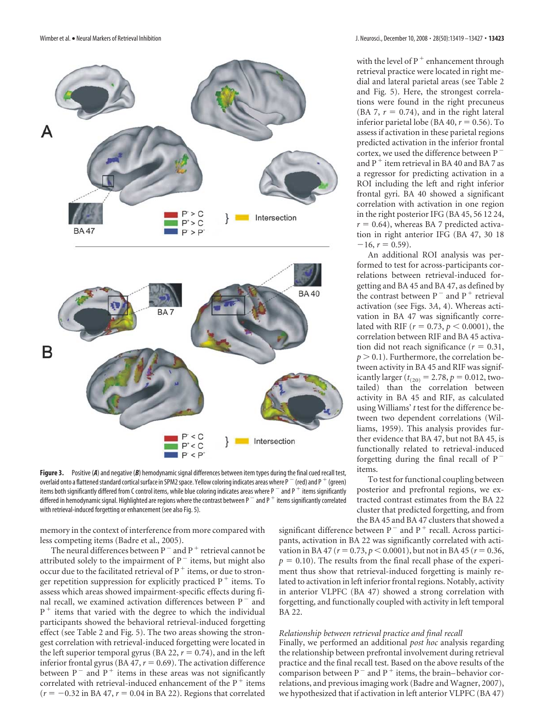

**Figure 3.** Positive (*A*) and negative (*B*) hemodynamic signal differences between item types during the final cued recall test, overlaid onto a flattened standard cortical surface in SPM2 space. Yellow coloring indicates areas where P  $^-$  (red) and P  $^+$  (green) items both significantly differed from C control items, while blue coloring indicates areas where P  $^-$  and P  $^+$  items significantly differed in hemodynamic signal. Highlighted are regions where the contrast between P  $^-$  and P  $^+$  items significantly correlated with retrieval-induced forgetting or enhancement (see also Fig. 5).

memory in the context of interference from more compared with less competing items (Badre et al., 2005).

The neural differences between  $P^-$  and  $P^+$  retrieval cannot be attributed solely to the impairment of  $P^-$  items, but might also occur due to the facilitated retrieval of  $P^+$  items, or due to stronger repetition suppression for explicitly practiced  $P^+$  items. To assess which areas showed impairment-specific effects during final recall, we examined activation differences between  $P^-$  and  $P<sup>+</sup>$  items that varied with the degree to which the individual participants showed the behavioral retrieval-induced forgetting effect (see Table 2 and Fig. 5). The two areas showing the strongest correlation with retrieval-induced forgetting were located in the left superior temporal gyrus (BA 22,  $r = 0.74$ ), and in the left inferior frontal gyrus (BA  $47$ ,  $r = 0.69$ ). The activation difference between  $P^-$  and  $P^+$  items in these areas was not significantly correlated with retrieval-induced enhancement of the  $P^+$  items  $(r = -0.32$  in BA 47,  $r = 0.04$  in BA 22). Regions that correlated

with the level of P<sup>+</sup> enhancement through retrieval practice were located in right medial and lateral parietal areas (see Table 2 and Fig. 5). Here, the strongest correlations were found in the right precuneus (BA 7,  $r = 0.74$ ), and in the right lateral inferior parietal lobe (BA 40,  $r = 0.56$ ). To assess if activation in these parietal regions predicted activation in the inferior frontal cortex, we used the difference between P and P  $^+$  item retrieval in BA 40 and BA 7 as a regressor for predicting activation in a ROI including the left and right inferior frontal gyri. BA 40 showed a significant correlation with activation in one region in the right posterior IFG (BA 45, 56 12 24,  $r = 0.64$ ), whereas BA 7 predicted activation in right anterior IFG (BA 47, 30 18  $-16$ ,  $r = 0.59$ ).

An additional ROI analysis was performed to test for across-participants correlations between retrieval-induced forgetting and BA 45 and BA 47, as defined by the contrast between  $P^-$  and  $P^+$  retrieval activation (see Figs. 3*A*, 4). Whereas activation in BA 47 was significantly correlated with RIF ( $r = 0.73$ ,  $p < 0.0001$ ), the correlation between RIF and BA 45 activation did not reach significance  $(r = 0.31,$  $p > 0.1$ ). Furthermore, the correlation between activity in BA 45 and RIF was significantly larger ( $t_{(20)} = 2.78$ ,  $p = 0.012$ , twotailed) than the correlation between activity in BA 45 and RIF, as calculated using Williams' *t* test for the difference between two dependent correlations (Williams, 1959). This analysis provides further evidence that BA 47, but not BA 45, is functionally related to retrieval-induced forgetting during the final recall of  $P^$ items.

To test for functional coupling between posterior and prefrontal regions, we extracted contrast estimates from the BA 22 cluster that predicted forgetting, and from the BA 45 and BA 47 clusters that showed a

significant difference between P<sup> $-$ </sup> and P<sup>+</sup> recall. Across participants, activation in BA 22 was significantly correlated with activation in BA 47 ( $r = 0.73$ ,  $p < 0.0001$ ), but not in BA 45 ( $r = 0.36$ ,  $p = 0.10$ ). The results from the final recall phase of the experiment thus show that retrieval-induced forgetting is mainly related to activation in left inferior frontal regions. Notably, activity in anterior VLPFC (BA 47) showed a strong correlation with forgetting, and functionally coupled with activity in left temporal BA 22.

### *Relationship between retrieval practice and final recall*

Finally, we performed an additional *post hoc* analysis regarding the relationship between prefrontal involvement during retrieval practice and the final recall test. Based on the above results of the comparison between  $P^-$  and  $P^+$  items, the brain–behavior correlations, and previous imaging work (Badre and Wagner, 2007), we hypothesized that if activation in left anterior VLPFC (BA 47)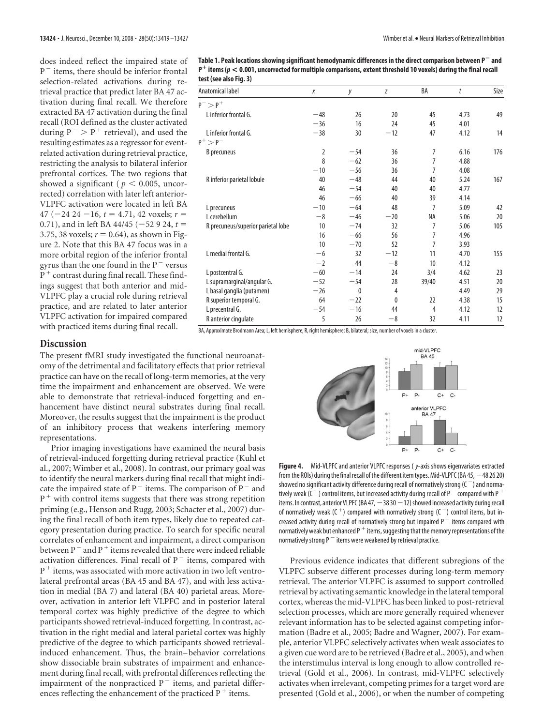does indeed reflect the impaired state of  $P^-$  items, there should be inferior frontal selection-related activations during retrieval practice that predict later BA 47 activation during final recall. We therefore extracted BA 47 activation during the final recall (ROI defined as the cluster activated during  $P^- > P^+$  retrieval), and used the resulting estimates as a regressor for eventrelated activation during retrieval practice, restricting the analysis to bilateral inferior prefrontal cortices. The two regions that showed a significant ( $p < 0.005$ , uncorrected) correlation with later left anterior-VLPFC activation were located in left BA 47 ( $-24$  24  $-16$ ,  $t = 4.71$ , 42 voxels;  $r =$ 0.71), and in left BA 44/45 ( $-52$  9 24,  $t =$ 3.75, 38 voxels;  $r = 0.64$ ), as shown in Figure 2. Note that this BA 47 focus was in a more orbital region of the inferior frontal gyrus than the one found in the  $P^-$  versus  $\widetilde{\mathrm{P}}^{+}$  contrast during final recall. These findings suggest that both anterior and mid-VLPFC play a crucial role during retrieval practice, and are related to later anterior VLPFC activation for impaired compared with practiced items during final recall.

**Table 1. Peak locations showing significant hemodynamic differences in the direct comparison between P and P**- **items (***p* **< 0.001, uncorrected for multiple comparisons, extent threshold 10 voxels) during the final recall test (see also Fig. 3)**

| Anatomical label                   | Χ              | у     | Z     | BA             | t    | Size |
|------------------------------------|----------------|-------|-------|----------------|------|------|
| $P^{-} > P^{+}$                    |                |       |       |                |      |      |
| L inferior frontal G.              | $-48$          | 26    | 20    | 45             | 4.73 | 49   |
|                                    | $-36$          | 16    | 24    | 45             | 4.01 |      |
| L inferior frontal G.              | $-38$          | 30    | $-12$ | 47             | 4.12 | 14   |
| $P^+ > P^-$                        |                |       |       |                |      |      |
| <b>B</b> precuneus                 | $\overline{2}$ | $-54$ | 36    | $\overline{7}$ | 6.16 | 176  |
|                                    | 8              | $-62$ | 36    | $\overline{7}$ | 4.88 |      |
|                                    | $-10$          | $-56$ | 36    | $\overline{7}$ | 4.08 |      |
| R inferior parietal lobule         | 40             | $-48$ | 44    | 40             | 5.24 | 167  |
|                                    | 46             | $-54$ | 40    | 40             | 4.77 |      |
|                                    | 46             | $-66$ | 40    | 39             | 4.14 |      |
| L precuneus                        | $-10$          | $-64$ | 48    | $\overline{7}$ | 5.09 | 42   |
| L cerebellum                       | $-8$           | $-46$ | $-20$ | ΝA             | 5.06 | 20   |
| R precuneus/superior parietal lobe | 10             | $-74$ | 32    | $\overline{7}$ | 5.06 | 105  |
|                                    | 16             | $-66$ | 56    | $\overline{7}$ | 4.96 |      |
|                                    | 10             | $-70$ | 52    | 7              | 3.93 |      |
| L medial frontal G.                | $-6$           | 32    | $-12$ | 11             | 4.70 | 155  |
|                                    | $-2$           | 44    | $-8$  | 10             | 4.12 |      |
| L postcentral G.                   | $-60$          | $-14$ | 24    | 3/4            | 4.62 | 23   |
| L supramarginal/angular G.         | $-52$          | $-54$ | 28    | 39/40          | 4.51 | 20   |
| L basal ganglia (putamen)          | $-26$          | 0     | 4     |                | 4.49 | 29   |
| R superior temporal G.             | 64             | $-22$ | 0     | 22             | 4.38 | 15   |
| L precentral G.                    | $-54$          | $-16$ | 44    | 4              | 4.12 | 12   |
| R anterior cingulate               | 5              | 26    | $-8$  | 32             | 4.11 | 12   |

**Discussion**

The present fMRI study investigated the functional neuroanatomy of the detrimental and facilitatory effects that prior retrieval practice can have on the recall of long-term memories, at the very time the impairment and enhancement are observed. We were able to demonstrate that retrieval-induced forgetting and enhancement have distinct neural substrates during final recall. Moreover, the results suggest that the impairment is the product of an inhibitory process that weakens interfering memory representations.

Prior imaging investigations have examined the neural basis of retrieval-induced forgetting during retrieval practice (Kuhl et al., 2007; Wimber et al., 2008). In contrast, our primary goal was to identify the neural markers during final recall that might indicate the impaired state of  $P^-$  items. The comparison of  $P^-$  and P<sup>+</sup> with control items suggests that there was strong repetition priming (e.g., Henson and Rugg, 2003; Schacter et al., 2007) during the final recall of both item types, likely due to repeated category presentation during practice. To search for specific neural correlates of enhancement and impairment, a direct comparison between P  $^-$  and P  $^+$  items revealed that there were indeed reliable activation differences. Final recall of  $P^-$  items, compared with  $P^+$  items, was associated with more activation in two left ventrolateral prefrontal areas (BA 45 and BA 47), and with less activation in medial (BA 7) and lateral (BA 40) parietal areas. Moreover, activation in anterior left VLPFC and in posterior lateral temporal cortex was highly predictive of the degree to which participants showed retrieval-induced forgetting. In contrast, activation in the right medial and lateral parietal cortex was highly predictive of the degree to which participants showed retrievalinduced enhancement. Thus, the brain– behavior correlations show dissociable brain substrates of impairment and enhancement during final recall, with prefrontal differences reflecting the impairment of the nonpracticed  $P^-$  items, and parietal differences reflecting the enhancement of the practiced  $P^+$  items.





**Figure 4.** Mid-VLPFC and anterior VLPFC responses ( *y*-axis shows eigenvariates extracted from the ROIs) during the final recall of the different item types. Mid-VLPFC (BA 45,  $-48$  26 20) showed no significant activity difference during recall of normatively strong  $(C^-)$  and normatively weak (C  $^+$  ) control items, but increased activity during recall of P  $^-$  compared with P  $^+$ items. In contrast, anterior VLPFC (BA 47,  $-38$  30  $-12$ ) showed increased activity during recall of normatively weak (C<sup>+</sup>) compared with normatively strong (C<sup>-</sup>) control items, but increased activity during recall of normatively strong but impaired  $P^-$  items compared with normatively weak but enhanced P  $^+$  items, suggesting that the memory representations of the normatively strong  $P^-$  items were weakened by retrieval practice.

Previous evidence indicates that different subregions of the VLPFC subserve different processes during long-term memory retrieval. The anterior VLPFC is assumed to support controlled retrieval by activating semantic knowledge in the lateral temporal cortex, whereas the mid-VLPFC has been linked to post-retrieval selection processes, which are more generally required whenever relevant information has to be selected against competing information (Badre et al., 2005; Badre and Wagner, 2007). For example, anterior VLPFC selectively activates when weak associates to a given cue word are to be retrieved (Badre et al., 2005), and when the interstimulus interval is long enough to allow controlled retrieval (Gold et al., 2006). In contrast, mid-VLPFC selectively activates when irrelevant, competing primes for a target word are presented (Gold et al., 2006), or when the number of competing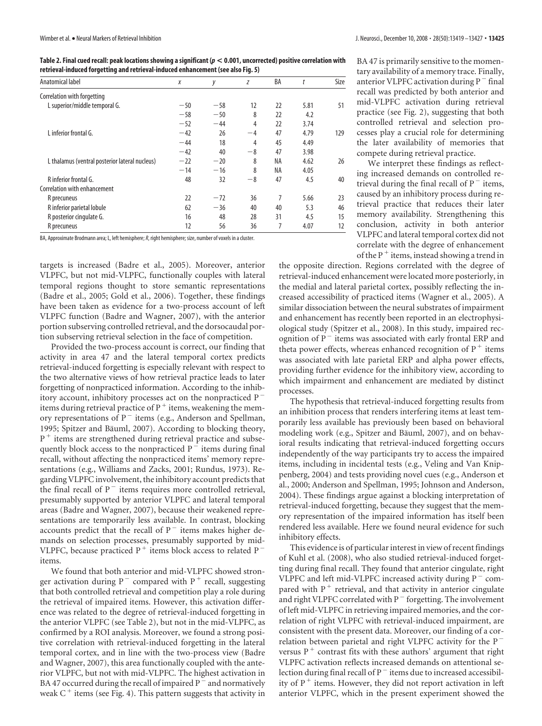**Table 2. Final cued recall: peak locations showing a significant (***p* **< 0.001, uncorrected) positive correlation with retrieval-induced forgetting and retrieval-induced enhancement (see also Fig. 5)**

| Anatomical label                               | Χ     | у     | Ζ    | BA | t    | Size |
|------------------------------------------------|-------|-------|------|----|------|------|
| Correlation with forgetting                    |       |       |      |    |      |      |
| L superior/middle temporal G.                  | $-50$ | $-58$ | 12   | 22 | 5.81 | 51   |
|                                                | $-58$ | $-50$ | 8    | 22 | 4.2  |      |
|                                                | $-52$ | $-44$ | 4    | 22 | 3.74 |      |
| L inferior frontal G.                          | $-42$ | 26    | $-4$ | 47 | 4.79 | 129  |
|                                                | $-44$ | 18    | 4    | 45 | 4.49 |      |
|                                                | $-42$ | 40    | $-8$ | 47 | 3.98 |      |
| L thalamus (ventral posterior lateral nucleus) | $-22$ | $-20$ | 8    | NA | 4.62 | 26   |
|                                                | $-14$ | $-16$ | 8    | NA | 4.05 |      |
| R inferior frontal G.                          | 48    | 32    | $-8$ | 47 | 4.5  | 40   |
| Correlation with enhancement                   |       |       |      |    |      |      |
| R precuneus                                    | 22    | $-72$ | 36   | 7  | 5.66 | 23   |
| R inferior parietal lobule                     | 62    | $-36$ | 40   | 40 | 5.3  | 46   |
| R posterior cingulate G.                       | 16    | 48    | 28   | 31 | 4.5  | 15   |
| R precuneus                                    | 12    | 56    | 36   | 7  | 4.07 | 12   |

BA, Approximate Brodmann area; L, left hemisphere;*R*, right hemisphere; size, number of voxels in a cluster.

targets is increased (Badre et al., 2005). Moreover, anterior VLPFC, but not mid-VLPFC, functionally couples with lateral temporal regions thought to store semantic representations (Badre et al., 2005; Gold et al., 2006). Together, these findings have been taken as evidence for a two-process account of left VLPFC function (Badre and Wagner, 2007), with the anterior portion subserving controlled retrieval, and the dorsocaudal portion subserving retrieval selection in the face of competition.

Provided the two-process account is correct, our finding that activity in area 47 and the lateral temporal cortex predicts retrieval-induced forgetting is especially relevant with respect to the two alternative views of how retrieval practice leads to later forgetting of nonpracticed information. According to the inhibitory account, inhibitory processes act on the nonpracticed  $P^$ items during retrieval practice of  $P^+$  items, weakening the memory representations of  $P^-$  items (e.g., Anderson and Spellman, 1995; Spitzer and Bäuml, 2007). According to blocking theory, P<sup>+</sup> items are strengthened during retrieval practice and subsequently block access to the nonpracticed  $P^-$  items during final recall, without affecting the nonpracticed items' memory representations (e.g., Williams and Zacks, 2001; Rundus, 1973). Regarding VLPFC involvement, the inhibitory account predicts that the final recall of  $P^-$  items requires more controlled retrieval, presumably supported by anterior VLPFC and lateral temporal areas (Badre and Wagner, 2007), because their weakened representations are temporarily less available. In contrast, blocking accounts predict that the recall of  $P^-$  items makes higher demands on selection processes, presumably supported by mid-VLPFC, because practiced  $P^+$  items block access to related  $P^$ items.

We found that both anterior and mid-VLPFC showed stronger activation during  $P^-$  compared with  $P^+$  recall, suggesting that both controlled retrieval and competition play a role during the retrieval of impaired items. However, this activation difference was related to the degree of retrieval-induced forgetting in the anterior VLPFC (see Table 2), but not in the mid-VLPFC, as confirmed by a ROI analysis. Moreover, we found a strong positive correlation with retrieval-induced forgetting in the lateral temporal cortex, and in line with the two-process view (Badre and Wagner, 2007), this area functionally coupled with the anterior VLPFC, but not with mid-VLPFC. The highest activation in BA 47 occurred during the recall of impaired  $P^-$  and normatively weak  $C^+$  items (see Fig. 4). This pattern suggests that activity in

BA 47 is primarily sensitive to the momentary availability of a memory trace. Finally, anterior VLPFC activation during  $P^-$  final recall was predicted by both anterior and mid-VLPFC activation during retrieval practice (see Fig. 2), suggesting that both controlled retrieval and selection processes play a crucial role for determining the later availability of memories that compete during retrieval practice.

We interpret these findings as reflecting increased demands on controlled retrieval during the final recall of  $P^-$  items, caused by an inhibitory process during retrieval practice that reduces their later memory availability. Strengthening this conclusion, activity in both anterior VLPFC and lateral temporal cortex did not correlate with the degree of enhancement of the  $P^+$  items, instead showing a trend in

the opposite direction. Regions correlated with the degree of retrieval-induced enhancement were located more posteriorly, in the medial and lateral parietal cortex, possibly reflecting the increased accessibility of practiced items (Wagner et al., 2005). A similar dissociation between the neural substrates of impairment and enhancement has recently been reported in an electrophysiological study (Spitzer et al., 2008). In this study, impaired recognition of  $P^-$  items was associated with early frontal ERP and theta power effects, whereas enhanced recognition of  $P^+$  items was associated with late parietal ERP and alpha power effects, providing further evidence for the inhibitory view, according to which impairment and enhancement are mediated by distinct processes.

The hypothesis that retrieval-induced forgetting results from an inhibition process that renders interfering items at least temporarily less available has previously been based on behavioral modeling work (e.g., Spitzer and Bäuml, 2007), and on behavioral results indicating that retrieval-induced forgetting occurs independently of the way participants try to access the impaired items, including in incidental tests (e.g., Veling and Van Knippenberg, 2004) and tests providing novel cues (e.g., Anderson et al., 2000; Anderson and Spellman, 1995; Johnson and Anderson, 2004). These findings argue against a blocking interpretation of retrieval-induced forgetting, because they suggest that the memory representation of the impaired information has itself been rendered less available. Here we found neural evidence for such inhibitory effects.

This evidence is of particular interest in view of recent findings of Kuhl et al. (2008), who also studied retrieval-induced forgetting during final recall. They found that anterior cingulate, right VLPFC and left mid-VLPFC increased activity during  $P^-$  compared with  $P^+$  retrieval, and that activity in anterior cingulate and right VLPFC correlated with  $P^-$  forgetting. The involvement of left mid-VLPFC in retrieving impaired memories, and the correlation of right VLPFC with retrieval-induced impairment, are consistent with the present data. Moreover, our finding of a correlation between parietal and right VLPFC activity for the P versus  $P^+$  contrast fits with these authors' argument that right VLPFC activation reflects increased demands on attentional selection during final recall of  $P^-$  items due to increased accessibility of  $P^+$  items. However, they did not report activation in left anterior VLPFC, which in the present experiment showed the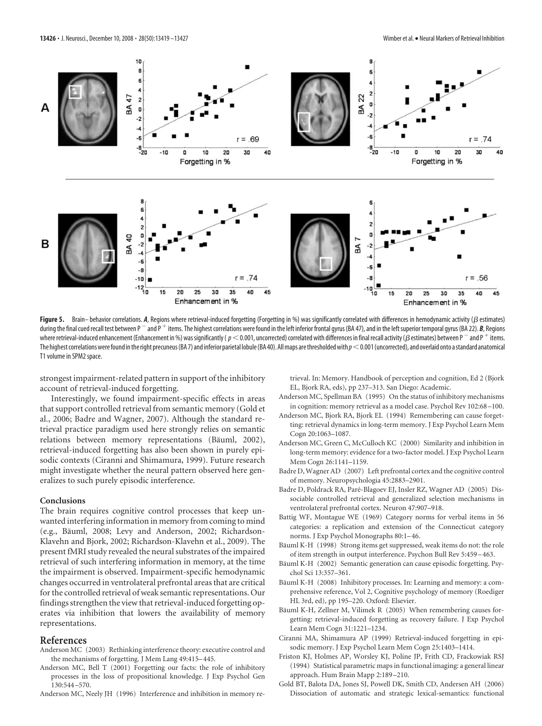

Figure 5. Brain– behavior correlations. A, Regions where retrieval-induced forgetting (Forgetting in %) was significantly correlated with differences in hemodynamic activity ( $\beta$  estimates) during the final cued recall test between P<sup>-</sup> and P<sup>+</sup> items. The highest correlations were found in the left inferior frontal gyrus (BA 47), and in the left superior temporal gyrus (BA 22). *B*, Regions where retrieval-induced enhancement (Enhancement in %) was significantly (  $\rho <$  0.001, uncorrected) correlated with differences in final recall activity ( $\rho$  estimates) between P  $^-$  and P  $^+$  items. The highest correlations were found in the right precuneus (BA 7) and inferior parietal lobule (BA 40). All maps are thresholded with  $p<$  0.001 (uncorrected), and overlaid onto a standard anatomical T1 volume in SPM2 space.

strongest impairment-related pattern in support of the inhibitory account of retrieval-induced forgetting.

Interestingly, we found impairment-specific effects in areas that support controlled retrieval from semantic memory (Gold et al., 2006; Badre and Wagner, 2007). Although the standard retrieval practice paradigm used here strongly relies on semantic relations between memory representations (Bäuml, 2002), retrieval-induced forgetting has also been shown in purely episodic contexts (Ciranni and Shimamura, 1999). Future research might investigate whether the neural pattern observed here generalizes to such purely episodic interference.

#### **Conclusions**

The brain requires cognitive control processes that keep unwanted interfering information in memory from coming to mind (e.g., Bäuml, 2008; Levy and Anderson, 2002; Richardson-Klavehn and Bjork, 2002; Richardson-Klavehn et al., 2009). The present fMRI study revealed the neural substrates of the impaired retrieval of such interfering information in memory, at the time the impairment is observed. Impairment-specific hemodynamic changes occurred in ventrolateral prefrontal areas that are critical for the controlled retrieval of weak semantic representations. Our findings strengthen the view that retrieval-induced forgetting operates via inhibition that lowers the availability of memory representations.

## **References**

- Anderson MC (2003) Rethinking interference theory: executive control and the mechanisms of forgetting. J Mem Lang 49:415–445.
- Anderson MC, Bell T (2001) Forgetting our facts: the role of inhibitory processes in the loss of propositional knowledge. J Exp Psychol Gen 130:544 –570.
- Anderson MC, Neely JH (1996) Interference and inhibition in memory re-

trieval. In: Memory. Handbook of perception and cognition, Ed 2 (Bjork EL, Bjork RA, eds), pp 237–313. San Diego: Academic.

- Anderson MC, Spellman BA (1995) On the status of inhibitory mechanisms in cognition: memory retrieval as a model case. Psychol Rev 102:68 –100.
- Anderson MC, Bjork RA, Bjork EL (1994) Remembering can cause forgetting: retrieval dynamics in long-term memory. J Exp Psychol Learn Mem Cogn 20:1063–1087.
- Anderson MC, Green C, McCulloch KC (2000) Similarity and inhibition in long-term memory: evidence for a two-factor model. J Exp Psychol Learn Mem Cogn 26:1141–1159.
- Badre D, Wagner AD (2007) Left prefrontal cortex and the cognitive control of memory. Neuropsychologia 45:2883–2901.
- Badre D, Poldrack RA, Paré-Blagoev EJ, Insler RZ, Wagner AD (2005) Dissociable controlled retrieval and generalized selection mechanisms in ventrolateral prefrontal cortex. Neuron 47:907–918.
- Battig WF, Montague WE (1969) Category norms for verbal items in 56 categories: a replication and extension of the Connecticut category norms. J Exp Psychol Monographs 80:1–46.
- Bäuml K-H (1998) Strong items get suppressed, weak items do not: the role of item strength in output interference. Psychon Bull Rev 5:459 –463.
- Bäuml K-H (2002) Semantic generation can cause episodic forgetting. Psychol Sci 13:357–361.
- Bäuml K-H (2008) Inhibitory processes. In: Learning and memory: a comprehensive reference, Vol 2, Cognitive psychology of memory (Roediger HL 3rd, ed), pp 195–220. Oxford: Elsevier.
- Bäuml K-H, Zellner M, Vilimek R (2005) When remembering causes forgetting: retrieval-induced forgetting as recovery failure. J Exp Psychol Learn Mem Cogn 31:1221–1234.
- Ciranni MA, Shimamura AP (1999) Retrieval-induced forgetting in episodic memory. J Exp Psychol Learn Mem Cogn 25:1403–1414.
- Friston KJ, Holmes AP, Worsley KJ, Poline JP, Frith CD, Frackowiak RSJ (1994) Statistical parametric maps in functional imaging: a general linear approach. Hum Brain Mapp 2:189 –210.
- Gold BT, Balota DA, Jones SJ, Powell DK, Smith CD, Andersen AH (2006) Dissociation of automatic and strategic lexical-semantics: functional